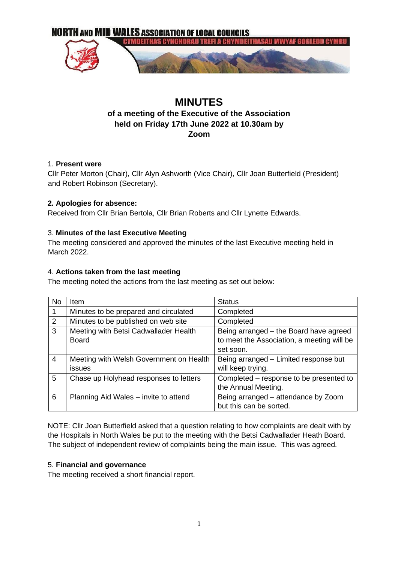

# **MINUTES**

# **of a meeting of the Executive of the Association held on Friday 17th June 2022 at 10.30am by Zoom**

### 1. **Present were**

Cllr Peter Morton (Chair), Cllr Alyn Ashworth (Vice Chair), Cllr Joan Butterfield (President) and Robert Robinson (Secretary).

#### **2. Apologies for absence:**

Received from Cllr Brian Bertola, Cllr Brian Roberts and Cllr Lynette Edwards.

### 3. **Minutes of the last Executive Meeting**

The meeting considered and approved the minutes of the last Executive meeting held in March 2022.

### 4. **Actions taken from the last meeting**

The meeting noted the actions from the last meeting as set out below:

| <b>No</b>      | Item                                                  | <b>Status</b>                                                                                     |
|----------------|-------------------------------------------------------|---------------------------------------------------------------------------------------------------|
| 1              | Minutes to be prepared and circulated                 | Completed                                                                                         |
| 2              | Minutes to be published on web site                   | Completed                                                                                         |
| 3              | Meeting with Betsi Cadwallader Health<br><b>Board</b> | Being arranged - the Board have agreed<br>to meet the Association, a meeting will be<br>set soon. |
| $\overline{4}$ | Meeting with Welsh Government on Health<br>issues     | Being arranged - Limited response but<br>will keep trying.                                        |
| 5              | Chase up Holyhead responses to letters                | Completed – response to be presented to<br>the Annual Meeting.                                    |
| 6              | Planning Aid Wales - invite to attend                 | Being arranged – attendance by Zoom<br>but this can be sorted.                                    |

NOTE: Cllr Joan Butterfield asked that a question relating to how complaints are dealt with by the Hospitals in North Wales be put to the meeting with the Betsi Cadwallader Heath Board. The subject of independent review of complaints being the main issue. This was agreed.

#### 5. **Financial and governance**

The meeting received a short financial report.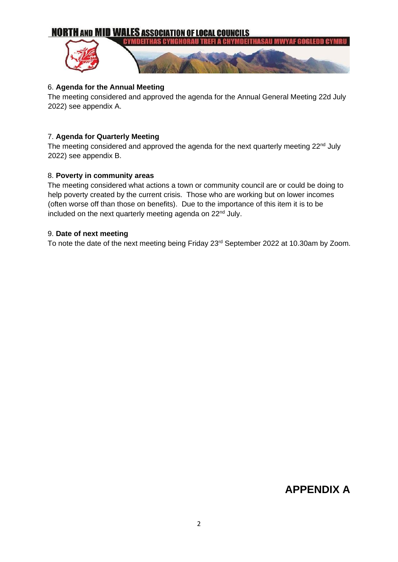# **NORTH AND MID WALES ASSOCIATION OF LOCAL COUNCILS**



#### 6. **Agenda for the Annual Meeting**

The meeting considered and approved the agenda for the Annual General Meeting 22d July 2022) see appendix A.

#### 7. **Agenda for Quarterly Meeting**

The meeting considered and approved the agenda for the next quarterly meeting  $22^{nd}$  July 2022) see appendix B.

#### 8. **Poverty in community areas**

The meeting considered what actions a town or community council are or could be doing to help poverty created by the current crisis. Those who are working but on lower incomes (often worse off than those on benefits). Due to the importance of this item it is to be included on the next quarterly meeting agenda on 22<sup>nd</sup> July.

#### 9. **Date of next meeting**

To note the date of the next meeting being Friday 23rd September 2022 at 10.30am by Zoom.

# **APPENDIX A**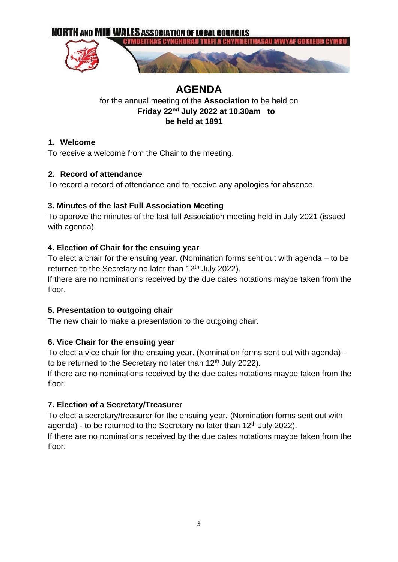

# **AGENDA**

# for the annual meeting of the **Association** to be held on **Friday 22nd July 2022 at 10.30am to be held at 1891**

# **1. Welcome**

To receive a welcome from the Chair to the meeting.

# **2. Record of attendance**

To record a record of attendance and to receive any apologies for absence.

# **3. Minutes of the last Full Association Meeting**

To approve the minutes of the last full Association meeting held in July 2021 (issued with agenda)

# **4. Election of Chair for the ensuing year**

To elect a chair for the ensuing year. (Nomination forms sent out with agenda – to be returned to the Secretary no later than 12<sup>th</sup> July 2022).

If there are no nominations received by the due dates notations maybe taken from the floor.

# **5. Presentation to outgoing chair**

The new chair to make a presentation to the outgoing chair.

# **6. Vice Chair for the ensuing year**

To elect a vice chair for the ensuing year. (Nomination forms sent out with agenda) to be returned to the Secretary no later than  $12<sup>th</sup>$  July 2022).

If there are no nominations received by the due dates notations maybe taken from the floor.

# **7. Election of a Secretary/Treasurer**

To elect a secretary/treasurer for the ensuing year**.** (Nomination forms sent out with agenda) - to be returned to the Secretary no later than  $12<sup>th</sup>$  July 2022).

If there are no nominations received by the due dates notations maybe taken from the floor.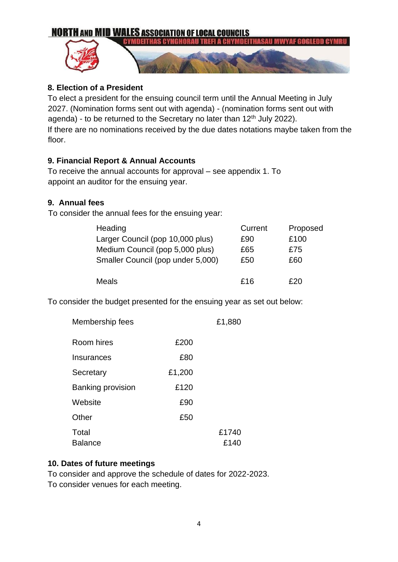

# **8. Election of a President**

To elect a president for the ensuing council term until the Annual Meeting in July 2027. (Nomination forms sent out with agenda) - (nomination forms sent out with agenda) - to be returned to the Secretary no later than 12<sup>th</sup> July 2022). If there are no nominations received by the due dates notations maybe taken from the floor.

# **9. Financial Report & Annual Accounts**

To receive the annual accounts for approval – see appendix 1. To appoint an auditor for the ensuing year.

# **9. Annual fees**

To consider the annual fees for the ensuing year:

| Heading                           | Current | Proposed |
|-----------------------------------|---------|----------|
| Larger Council (pop 10,000 plus)  | £90     | £100     |
| Medium Council (pop 5,000 plus)   | £65     | £75      |
| Smaller Council (pop under 5,000) | £50     | £60      |
|                                   |         |          |
| Meals                             | £16     | £ጋበ      |

To consider the budget presented for the ensuing year as set out below:

| Membership fees          |        | £1,880 |
|--------------------------|--------|--------|
| Room hires               | £200   |        |
| Insurances               | £80    |        |
| Secretary                | £1,200 |        |
| <b>Banking provision</b> | £120   |        |
| Website                  | £90    |        |
| Other                    | £50    |        |
| Total                    |        | £1740  |
| <b>Balance</b>           |        | £140   |

# **10. Dates of future meetings**

To consider and approve the schedule of dates for 2022-2023. To consider venues for each meeting.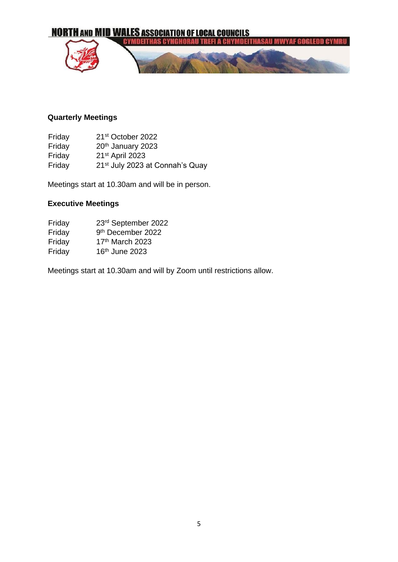

# **Quarterly Meetings**

Friday 21st October 2022 Friday 20<sup>th</sup> January 2023 Friday 21st April 2023 Friday 21st July 2023 at Connah's Quay

Meetings start at 10.30am and will be in person.

### **Executive Meetings**

| Friday | 23rd September 2022           |
|--------|-------------------------------|
| Friday | 9 <sup>th</sup> December 2022 |
| Friday | 17th March 2023               |
| Friday | 16th June 2023                |

Meetings start at 10.30am and will by Zoom until restrictions allow.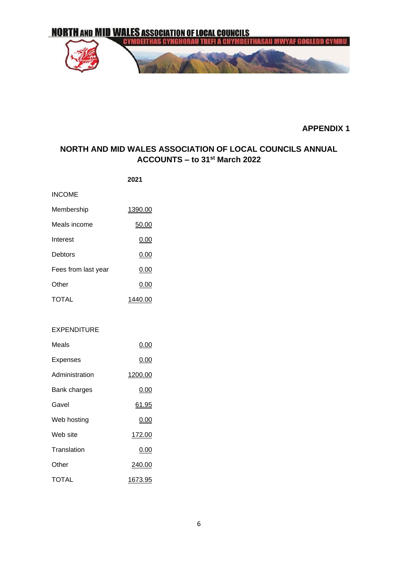

**APPENDIX 1** 

# **NORTH AND MID WALES ASSOCIATION OF LOCAL COUNCILS ANNUAL ACCOUNTS – to 31st March 2022**

| <b>INCOME</b>       |         |
|---------------------|---------|
| Membership          | 1390.00 |
| Meals income        | 50.00   |
| Interest            | 0.00    |
| Debtors             | 0.00    |
| Fees from last year | 0.00    |
| Other               | 0.00    |
| <b>TOTAL</b>        | 1440.00 |

#### EXPENDITURE

| Meals          | 0.00         |
|----------------|--------------|
| Expenses       | 0.00         |
| Administration | 1200.00      |
| Bank charges   | 0.00         |
| Gavel          | <u>61.95</u> |
| Web hosting    | 0.00         |
| Web site       | 172.00       |
| Translation    | 0.00         |
| Other          | 240.00       |
| TOTAL          | 1673.95      |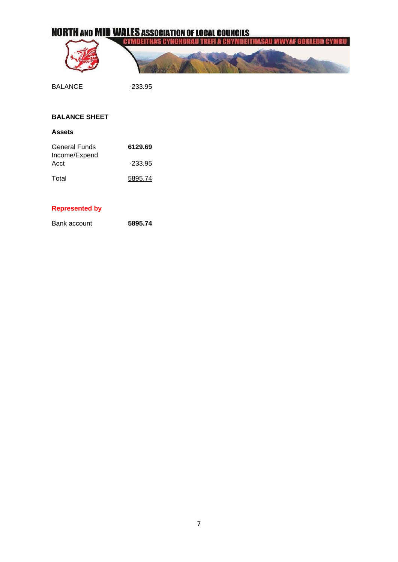# **NORTH AND MID WALES ASSOCIATION OF LOCAL COUNCILS**

| THAS CYNGHORAU TREFI A CHYMDEITHASAU MWYAF GOGLEDD CYMRU ( |
|------------------------------------------------------------|
|                                                            |
|                                                            |
|                                                            |

BALANCE <u>-233.95</u>

# **BALANCE SHEET**

**Assets** 

| <b>General Funds</b>  | 6129.69   |
|-----------------------|-----------|
| Income/Expend<br>Acct | $-233.95$ |
| Total                 | 5895.74   |

#### **Represented by**

Bank account **5895.74**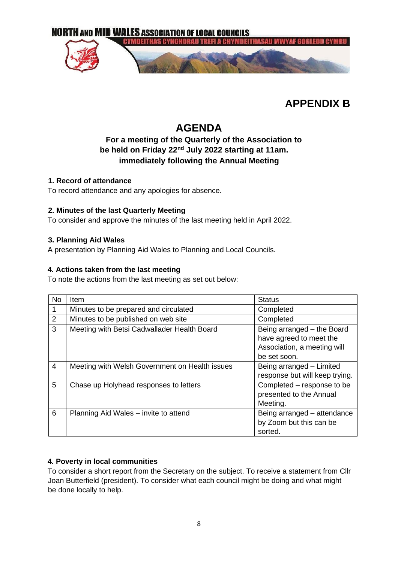

# **APPENDIX B**

# **AGENDA**

# **For a meeting of the Quarterly of the Association to be held on Friday 22nd July 2022 starting at 11am. immediately following the Annual Meeting**

### **1. Record of attendance**

To record attendance and any apologies for absence.

### **2. Minutes of the last Quarterly Meeting**

To consider and approve the minutes of the last meeting held in April 2022.

### **3. Planning Aid Wales**

A presentation by Planning Aid Wales to Planning and Local Councils.

### **4. Actions taken from the last meeting**

To note the actions from the last meeting as set out below:

| <b>No</b> | Item                                           | <b>Status</b>                                                                                        |
|-----------|------------------------------------------------|------------------------------------------------------------------------------------------------------|
|           | Minutes to be prepared and circulated          | Completed                                                                                            |
| 2         | Minutes to be published on web site            | Completed                                                                                            |
| 3         | Meeting with Betsi Cadwallader Health Board    | Being arranged - the Board<br>have agreed to meet the<br>Association, a meeting will<br>be set soon. |
| 4         | Meeting with Welsh Government on Health issues | Being arranged - Limited<br>response but will keep trying.                                           |
| 5         | Chase up Holyhead responses to letters         | Completed – response to be<br>presented to the Annual<br>Meeting.                                    |
| 6         | Planning Aid Wales - invite to attend          | Being arranged - attendance<br>by Zoom but this can be<br>sorted.                                    |

# **4. Poverty in local communities**

To consider a short report from the Secretary on the subject. To receive a statement from Cllr Joan Butterfield (president). To consider what each council might be doing and what might be done locally to help.